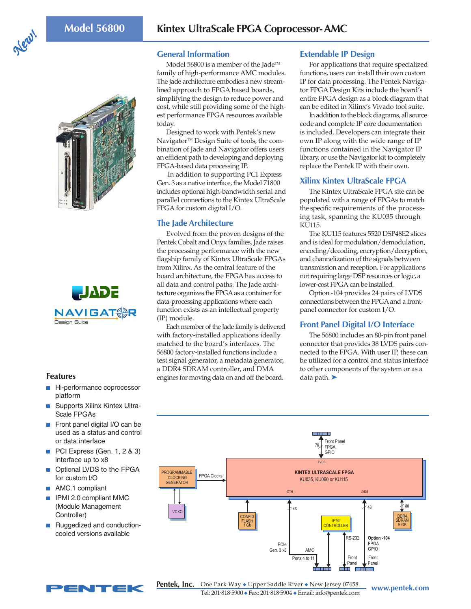





- Hi-performance coprocessor platform
- Supports Xilinx Kintex Ultra-Scale FPGAs
- Front panel digital I/O can be used as a status and control or data interface
- PCI Express (Gen. 1, 2 & 3) interface up to x8
- Optional LVDS to the FPGA for custom I/O
- AMC.1 compliant
- IPMI 2.0 compliant MMC (Module Management Controller)
- Ruggedized and conductioncooled versions available



NTEK

**General Information**

Model 56800 is a member of the Jade™ family of high-performance AMC modules. The Jade architecture embodies a new streamlined approach to FPGA based boards, simplifying the design to reduce power and cost, while still providing some of the highest performance FPGA resources available today.

Designed to work with Pentek's new Navigator<sup>™</sup> Design Suite of tools, the combination of Jade and Navigator offers users an efficient path to developing and deploying FPGA-based data processing IP.

 In addition to supporting PCI Express Gen. 3 as a native interface, the Model 71800 includes optional high-bandwidth serial and parallel connections to the Kintex UltraScale FPGA for custom digital I/O.

# **The Jade Architecture**

Evolved from the proven designs of the Pentek Cobalt and Onyx families, Jade raises the processing performance with the new flagship family of Kintex UltraScale FPGAs from Xilinx. As the central feature of the board architecture, the FPGA has access to all data and control paths. The Jade architecture organizes the FPGA as a container for data-processing applications where each function exists as an intellectual property (IP) module.

Each member of the Jade family is delivered with factory-installed applications ideally matched to the board's interfaces. The 56800 factory-installed functions include a test signal generator, a metadata generator, a DDR4 SDRAM controller, and DMA **Features Features Exercise Exercise** engines for moving data on and off the board. <br>■ data path. ▶

#### **Extendable IP Design**

For applications that require specialized functions, users can install their own custom IP for data processing. The Pentek Navigator FPGA Design Kits include the board's entire FPGA design as a block diagram that can be edited in Xilinx's Vivado tool suite.

In addition to the block diagrams, all source code and complete IP core documentation is included. Developers can integrate their own IP along with the wide range of IP functions contained in the Navigator IP library, or use the Navigator kit to completely replace the Pentek IP with their own.

# **Xilinx Kintex UltraScale FPGA**

The Kintex UltraScale FPGA site can be populated with a range of FPGAs to match the specific requirements of the processing task, spanning the KU035 through KU115.

The KU115 features 5520 DSP48E2 slices and is ideal for modulation/demodulation, encoding/decoding, encryption/decryption, and channelization of the signals between transmission and reception. For applications not requiring large DSP resources or logic, a lower-cost FPGA can be installed.

Option -104 provides 24 pairs of LVDS connections between the FPGA and a frontpanel connector for custom I/O.

# **Front Panel Digital I/O Interface**

The 56800 includes an 80-pin front panel connector that provides 38 LVDS pairs connected to the FPGA. With user IP, these can be utilized for a control and status interface to other components of the system or as a



**www.pentek.com** One Park Way ◆ Upper Saddle River ◆ New Jersey 07458 Tel: 201. 818. 5900 ◆ Fax: 201. 818. 5904 ◆ Email: info@pentek.com **Pentek, Inc.**